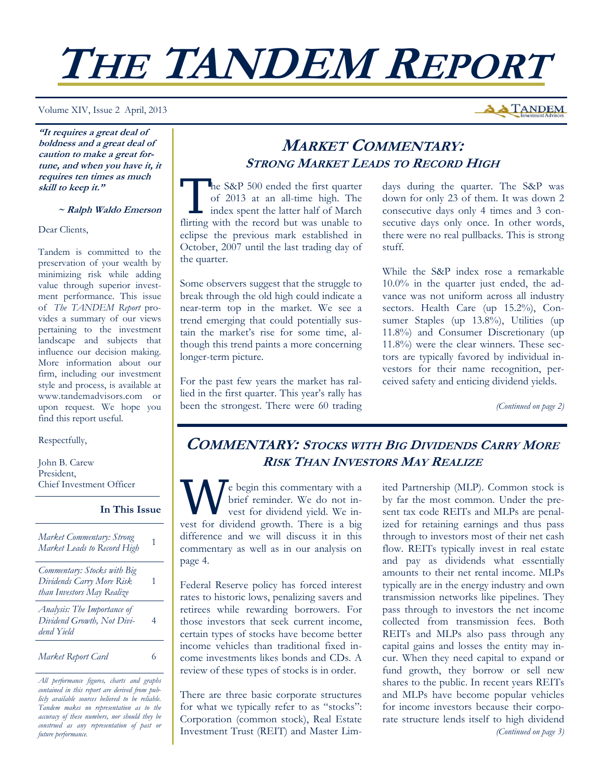# **THE TANDEM REPORT**

Volume XIV, Issue 2 April, 2013

**"It requires a great deal of boldness and a great deal of caution to make a great fortune, and when you have it, it requires ten times as much skill to keep it."** 

#### **~ Ralph Waldo Emerson**

Dear Clients,

Tandem is committed to the preservation of your wealth by minimizing risk while adding value through superior investment performance. This issue of *The TANDEM Report* provides a summary of our views pertaining to the investment landscape and subjects that influence our decision making. More information about our firm, including our investment style and process, is available at www.tandemadvisors.com or upon request. We hope you find this report useful.

Respectfully,

John B. Carew President, Chief Investment Officer

## **In This Issue**

| Market Commentary: Strong<br>Market Leads to Record High                               |  |
|----------------------------------------------------------------------------------------|--|
| Commentary: Stocks with Big<br>Dividends Carry More Risk<br>than Investors May Realize |  |
| Analysis: The Importance of<br>Dividend Growth, Not Divi-<br>dend Yield                |  |
| Market Report Card                                                                     |  |

*All performance figures, charts and graphs contained in this report are derived from publicly available sources believed to be reliable. Tandem makes no representation as to the accuracy of these numbers, nor should they be construed as any representation of past or future performance.* 

# **MARKET COMMENTARY: STRONG MARKET LEADS TO RECORD HIGH**

The S&P 500 ended the first quarter<br>
of 2013 at an all-time high. The<br>
index spent the latter half of March<br>
fligting with the geography we weake to of 2013 at an all-time high. The flirting with the record but was unable to eclipse the previous mark established in October, 2007 until the last trading day of the quarter.

Some observers suggest that the struggle to break through the old high could indicate a near-term top in the market. We see a trend emerging that could potentially sustain the market's rise for some time, although this trend paints a more concerning longer-term picture.

For the past few years the market has rallied in the first quarter. This year's rally has been the strongest. There were 60 trading days during the quarter. The S&P was down for only 23 of them. It was down 2 consecutive days only 4 times and 3 consecutive days only once. In other words, there were no real pullbacks. This is strong stuff.

While the S&P index rose a remarkable 10.0% in the quarter just ended, the advance was not uniform across all industry sectors. Health Care (up 15.2%), Consumer Staples (up 13.8%), Utilities (up 11.8%) and Consumer Discretionary (up 11.8%) were the clear winners. These sectors are typically favored by individual investors for their name recognition, perceived safety and enticing dividend yields.

*(Continued on page 2)* 

# **COMMENTARY: STOCKS WITH BIG DIVIDENDS CARRY MORE RISK THAN INVESTORS MAY REALIZE**

e begin this commentary with a brief reminder. We do not invest for dividend yield. We invest for dividend growth. There is a big difference and we will discuss it in this commentary as well as in our analysis on page 4.

Federal Reserve policy has forced interest rates to historic lows, penalizing savers and retirees while rewarding borrowers. For those investors that seek current income, certain types of stocks have become better income vehicles than traditional fixed income investments likes bonds and CDs. A review of these types of stocks is in order.

There are three basic corporate structures for what we typically refer to as "stocks": Corporation (common stock), Real Estate Investment Trust (REIT) and Master Limited Partnership (MLP). Common stock is by far the most common. Under the present tax code REITs and MLPs are penalized for retaining earnings and thus pass through to investors most of their net cash flow. REITs typically invest in real estate and pay as dividends what essentially amounts to their net rental income. MLPs typically are in the energy industry and own transmission networks like pipelines. They pass through to investors the net income collected from transmission fees. Both REITs and MLPs also pass through any capital gains and losses the entity may incur. When they need capital to expand or fund growth, they borrow or sell new shares to the public. In recent years REITs and MLPs have become popular vehicles for income investors because their corporate structure lends itself to high dividend *(Continued on page 3)* 

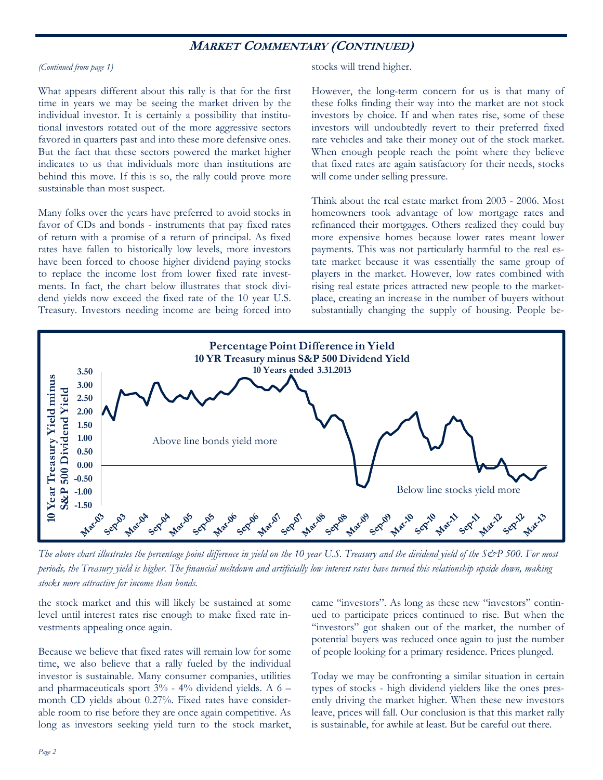## **MARKET COMMENTARY (CONTINUED)**

#### *(Continued from page 1)*

What appears different about this rally is that for the first time in years we may be seeing the market driven by the individual investor. It is certainly a possibility that institutional investors rotated out of the more aggressive sectors favored in quarters past and into these more defensive ones. But the fact that these sectors powered the market higher indicates to us that individuals more than institutions are behind this move. If this is so, the rally could prove more sustainable than most suspect.

Many folks over the years have preferred to avoid stocks in favor of CDs and bonds - instruments that pay fixed rates of return with a promise of a return of principal. As fixed rates have fallen to historically low levels, more investors have been forced to choose higher dividend paying stocks to replace the income lost from lower fixed rate investments. In fact, the chart below illustrates that stock dividend yields now exceed the fixed rate of the 10 year U.S. Treasury. Investors needing income are being forced into stocks will trend higher.

However, the long-term concern for us is that many of these folks finding their way into the market are not stock investors by choice. If and when rates rise, some of these investors will undoubtedly revert to their preferred fixed rate vehicles and take their money out of the stock market. When enough people reach the point where they believe that fixed rates are again satisfactory for their needs, stocks will come under selling pressure.

Think about the real estate market from 2003 - 2006. Most homeowners took advantage of low mortgage rates and refinanced their mortgages. Others realized they could buy more expensive homes because lower rates meant lower payments. This was not particularly harmful to the real estate market because it was essentially the same group of players in the market. However, low rates combined with rising real estate prices attracted new people to the marketplace, creating an increase in the number of buyers without substantially changing the supply of housing. People be-



*The above chart illustrates the percentage point difference in yield on the 10 year U.S. Treasury and the dividend yield of the S&P 500. For most periods, the Treasury yield is higher. The financial meltdown and artificially low interest rates have turned this relationship upside down, making stocks more attractive for income than bonds.* 

the stock market and this will likely be sustained at some level until interest rates rise enough to make fixed rate investments appealing once again.

Because we believe that fixed rates will remain low for some time, we also believe that a rally fueled by the individual investor is sustainable. Many consumer companies, utilities and pharmaceuticals sport 3% - 4% dividend yields. A 6 – month CD yields about 0.27%. Fixed rates have considerable room to rise before they are once again competitive. As long as investors seeking yield turn to the stock market, came "investors". As long as these new "investors" continued to participate prices continued to rise. But when the "investors" got shaken out of the market, the number of potential buyers was reduced once again to just the number of people looking for a primary residence. Prices plunged.

Today we may be confronting a similar situation in certain types of stocks - high dividend yielders like the ones presently driving the market higher. When these new investors leave, prices will fall. Our conclusion is that this market rally is sustainable, for awhile at least. But be careful out there.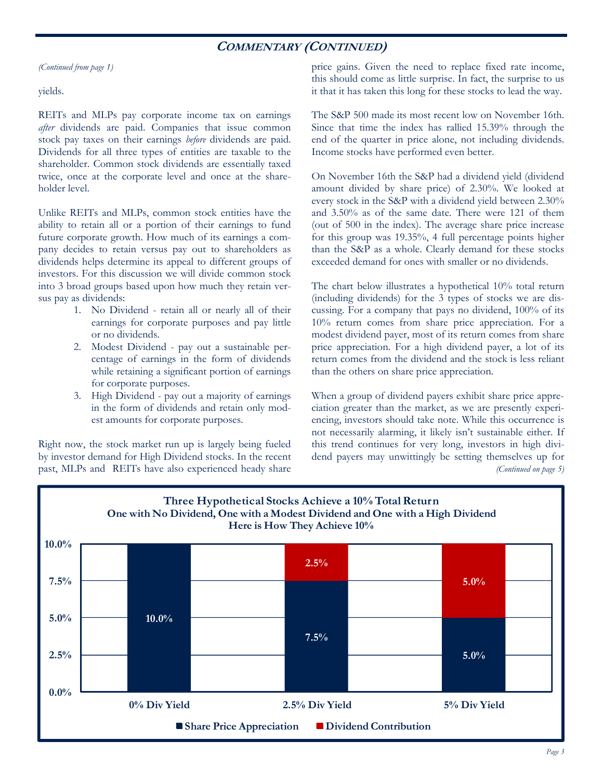## **COMMENTARY (CONTINUED)**

*(Continued from page 1)* 

yields.

REITs and MLPs pay corporate income tax on earnings *after* dividends are paid. Companies that issue common stock pay taxes on their earnings *before* dividends are paid. Dividends for all three types of entities are taxable to the shareholder. Common stock dividends are essentially taxed twice, once at the corporate level and once at the shareholder level.

Unlike REITs and MLPs, common stock entities have the ability to retain all or a portion of their earnings to fund future corporate growth. How much of its earnings a company decides to retain versus pay out to shareholders as dividends helps determine its appeal to different groups of investors. For this discussion we will divide common stock into 3 broad groups based upon how much they retain versus pay as dividends:

- 1. No Dividend retain all or nearly all of their earnings for corporate purposes and pay little or no dividends.
- 2. Modest Dividend pay out a sustainable percentage of earnings in the form of dividends while retaining a significant portion of earnings for corporate purposes.
- 3. High Dividend pay out a majority of earnings in the form of dividends and retain only modest amounts for corporate purposes.

Right now, the stock market run up is largely being fueled by investor demand for High Dividend stocks. In the recent past, MLPs and REITs have also experienced heady share

price gains. Given the need to replace fixed rate income, this should come as little surprise. In fact, the surprise to us it that it has taken this long for these stocks to lead the way.

The S&P 500 made its most recent low on November 16th. Since that time the index has rallied 15.39% through the end of the quarter in price alone, not including dividends. Income stocks have performed even better.

On November 16th the S&P had a dividend yield (dividend amount divided by share price) of 2.30%. We looked at every stock in the S&P with a dividend yield between 2.30% and 3.50% as of the same date. There were 121 of them (out of 500 in the index). The average share price increase for this group was 19.35%, 4 full percentage points higher than the S&P as a whole. Clearly demand for these stocks exceeded demand for ones with smaller or no dividends.

The chart below illustrates a hypothetical 10% total return (including dividends) for the 3 types of stocks we are discussing. For a company that pays no dividend, 100% of its 10% return comes from share price appreciation. For a modest dividend payer, most of its return comes from share price appreciation. For a high dividend payer, a lot of its return comes from the dividend and the stock is less reliant than the others on share price appreciation.

When a group of dividend payers exhibit share price appreciation greater than the market, as we are presently experiencing, investors should take note. While this occurrence is not necessarily alarming, it likely isn't sustainable either. If this trend continues for very long, investors in high dividend payers may unwittingly be setting themselves up for *(Continued on page 5)* 

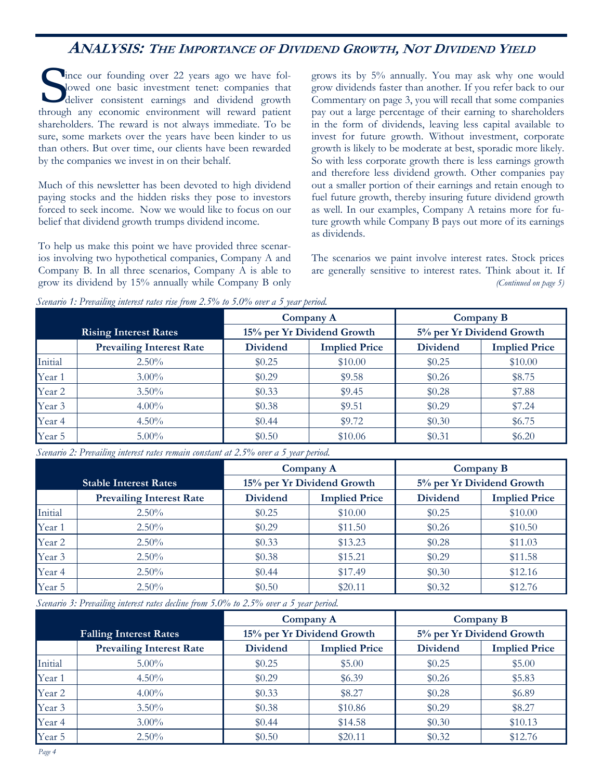# **ANALYSIS: THE <sup>I</sup>MPORTANCE OF <sup>D</sup>IVIDEND GROWTH, NOT <sup>D</sup>IVIDEND YIELD**

S ince our founding over 22 years ago we have fol-<br>lowed one basic investment tenet: companies that<br>deliver consistent earnings and dividend growth lowed one basic investment tenet: companies that through any economic environment will reward patient shareholders. The reward is not always immediate. To be sure, some markets over the years have been kinder to us than others. But over time, our clients have been rewarded by the companies we invest in on their behalf.

Much of this newsletter has been devoted to high dividend paying stocks and the hidden risks they pose to investors forced to seek income. Now we would like to focus on our belief that dividend growth trumps dividend income.

To help us make this point we have provided three scenarios involving two hypothetical companies, Company A and Company B. In all three scenarios, Company A is able to grow its dividend by 15% annually while Company B only grows its by 5% annually. You may ask why one would grow dividends faster than another. If you refer back to our Commentary on page 3, you will recall that some companies pay out a large percentage of their earning to shareholders in the form of dividends, leaving less capital available to invest for future growth. Without investment, corporate growth is likely to be moderate at best, sporadic more likely. So with less corporate growth there is less earnings growth and therefore less dividend growth. Other companies pay out a smaller portion of their earnings and retain enough to fuel future growth, thereby insuring future dividend growth as well. In our examples, Company A retains more for future growth while Company B pays out more of its earnings as dividends.

The scenarios we paint involve interest rates. Stock prices are generally sensitive to interest rates. Think about it. If *(Continued on page 5)* 

|         |                                 | Company A       |                            | Company B                 |                      |
|---------|---------------------------------|-----------------|----------------------------|---------------------------|----------------------|
|         | <b>Rising Interest Rates</b>    |                 | 15% per Yr Dividend Growth | 5% per Yr Dividend Growth |                      |
|         | <b>Prevailing Interest Rate</b> | <b>Dividend</b> | <b>Implied Price</b>       | <b>Dividend</b>           | <b>Implied Price</b> |
| Initial | $2.50\%$                        | \$0.25          | \$10.00                    | \$0.25                    | \$10.00              |
| Year 1  | $3.00\%$                        | \$0.29          | \$9.58                     | \$0.26                    | \$8.75               |
| Year 2  | $3.50\%$                        | \$0.33          | \$9.45                     | \$0.28                    | \$7.88               |
| Year 3  | $4.00\%$                        | \$0.38          | \$9.51                     | \$0.29                    | \$7.24               |
| Year 4  | $4.50\%$                        | \$0.44          | \$9.72                     | \$0.30                    | \$6.75               |
| Year 5  | $5.00\%$                        | \$0.50          | \$10.06                    | \$0.31                    | \$6.20               |

*Scenario 1: Prevailing interest rates rise from 2.5% to 5.0% over a 5 year period.* 

*Scenario 2: Prevailing interest rates remain constant at 2.5% over a 5 year period.* 

|         |                                 | Company A                  |                      | Company B                 |                      |
|---------|---------------------------------|----------------------------|----------------------|---------------------------|----------------------|
|         | <b>Stable Interest Rates</b>    | 15% per Yr Dividend Growth |                      | 5% per Yr Dividend Growth |                      |
|         | <b>Prevailing Interest Rate</b> | <b>Dividend</b>            | <b>Implied Price</b> | <b>Dividend</b>           | <b>Implied Price</b> |
| Initial | 2.50%                           | \$0.25                     | \$10.00              | \$0.25                    | \$10.00              |
| Year 1  | $2.50\%$                        | \$0.29                     | \$11.50              | \$0.26                    | \$10.50              |
| Year 2  | $2.50\%$                        | \$0.33                     | \$13.23              | \$0.28                    | \$11.03              |
| Year 3  | $2.50\%$                        | \$0.38                     | \$15.21              | \$0.29                    | \$11.58              |
| Year 4  | $2.50\%$                        | \$0.44                     | \$17.49              | \$0.30                    | \$12.16              |
| Year 5  | $2.50\%$                        | \$0.50                     | \$20.11              | \$0.32                    | \$12.76              |

*Scenario 3: Prevailing interest rates decline from 5.0% to 2.5% over a 5 year period.* 

|         |                                 | Company A       |                            | Company B                 |                      |
|---------|---------------------------------|-----------------|----------------------------|---------------------------|----------------------|
|         | <b>Falling Interest Rates</b>   |                 | 15% per Yr Dividend Growth | 5% per Yr Dividend Growth |                      |
|         | <b>Prevailing Interest Rate</b> | <b>Dividend</b> | <b>Implied Price</b>       | <b>Dividend</b>           | <b>Implied Price</b> |
| Initial | $5.00\%$                        | \$0.25          | \$5.00                     | \$0.25                    | \$5.00               |
| Year 1  | $4.50\%$                        | \$0.29          | \$6.39                     | \$0.26                    | \$5.83               |
| Year 2  | $4.00\%$                        | \$0.33          | \$8.27                     | \$0.28                    | \$6.89               |
| Year 3  | $3.50\%$                        | \$0.38          | \$10.86                    | \$0.29                    | \$8.27               |
| Year 4  | $3.00\%$                        | \$0.44          | \$14.58                    | \$0.30                    | \$10.13              |
| Year 5  | $2.50\%$                        | \$0.50          | \$20.11                    | \$0.32                    | \$12.76              |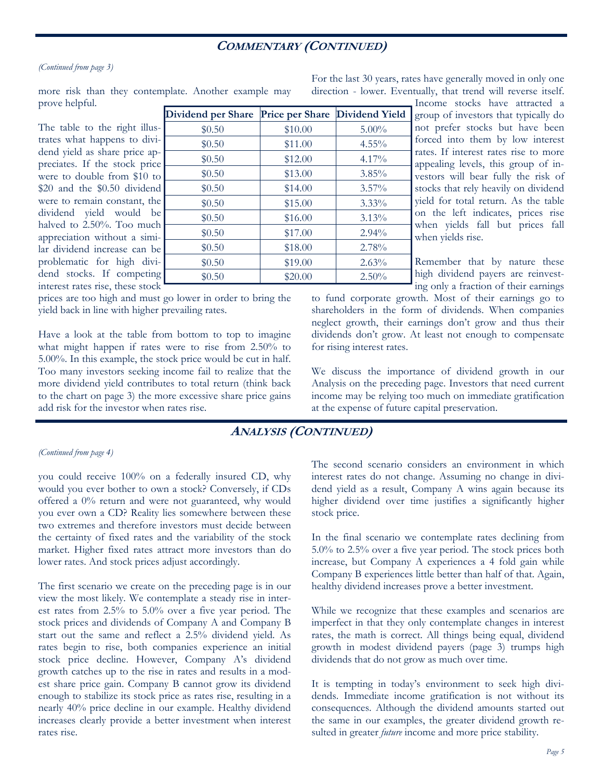## **COMMENTARY (CONTINUED)**

 $$0.50$   $$10.00$   $$5.00\%$  $$0.50$   $$11.00$   $4.55\%$  $$0.50$   $$12.00$   $4.17\%$  $$0.50$   $$13.00$   $$3.85\%$  $$0.50$   $$14.00$   $$3.57\%$  $$0.50$   $$15.00$   $$3.33\%$  $$0.50$   $$16.00$   $$3.13\%$  $$0.50$   $$17.00$   $$2.94\%$  $$0.50$   $$18.00$   $$2.78\%$  $$0.50$   $$19.00$   $$2.63\%$  $$0.50$   $$20.00$   $$2.50\%$ 

#### *(Continued from page 3)*

more risk than they contemplate. Another example may prove helpful. **Dividend per Share Price per Share Dividend Yield** 

The table to the right illustrates what happens to dividend yield as share price appreciates. If the stock price were to double from \$10 to \$20 and the \$0.50 dividend were to remain constant, the dividend yield would be halved to 2.50%. Too much appreciation without a similar dividend increase can be problematic for high dividend stocks. If competing interest rates rise, these stock

prices are too high and must go lower in order to bring the yield back in line with higher prevailing rates.

Have a look at the table from bottom to top to imagine what might happen if rates were to rise from 2.50% to 5.00%. In this example, the stock price would be cut in half. Too many investors seeking income fail to realize that the more dividend yield contributes to total return (think back to the chart on page 3) the more excessive share price gains add risk for the investor when rates rise.

For the last 30 years, rates have generally moved in only one direction - lower. Eventually, that trend will reverse itself.

> Income stocks have attracted a group of investors that typically do not prefer stocks but have been forced into them by low interest rates. If interest rates rise to more appealing levels, this group of investors will bear fully the risk of stocks that rely heavily on dividend yield for total return. As the table on the left indicates, prices rise when yields fall but prices fall when yields rise.

> Remember that by nature these high dividend payers are reinvesting only a fraction of their earnings

to fund corporate growth. Most of their earnings go to shareholders in the form of dividends. When companies neglect growth, their earnings don't grow and thus their dividends don't grow. At least not enough to compensate for rising interest rates.

We discuss the importance of dividend growth in our Analysis on the preceding page. Investors that need current income may be relying too much on immediate gratification at the expense of future capital preservation.

## **ANALYSIS (CONTINUED)**

#### *(Continued from page 4)*

you could receive 100% on a federally insured CD, why would you ever bother to own a stock? Conversely, if CDs offered a 0% return and were not guaranteed, why would you ever own a CD? Reality lies somewhere between these two extremes and therefore investors must decide between the certainty of fixed rates and the variability of the stock market. Higher fixed rates attract more investors than do lower rates. And stock prices adjust accordingly.

The first scenario we create on the preceding page is in our view the most likely. We contemplate a steady rise in interest rates from 2.5% to 5.0% over a five year period. The stock prices and dividends of Company A and Company B start out the same and reflect a 2.5% dividend yield. As rates begin to rise, both companies experience an initial stock price decline. However, Company A's dividend growth catches up to the rise in rates and results in a modest share price gain. Company B cannot grow its dividend enough to stabilize its stock price as rates rise, resulting in a nearly 40% price decline in our example. Healthy dividend increases clearly provide a better investment when interest rates rise.

The second scenario considers an environment in which interest rates do not change. Assuming no change in dividend yield as a result, Company A wins again because its higher dividend over time justifies a significantly higher stock price.

In the final scenario we contemplate rates declining from 5.0% to 2.5% over a five year period. The stock prices both increase, but Company A experiences a 4 fold gain while Company B experiences little better than half of that. Again, healthy dividend increases prove a better investment.

While we recognize that these examples and scenarios are imperfect in that they only contemplate changes in interest rates, the math is correct. All things being equal, dividend growth in modest dividend payers (page 3) trumps high dividends that do not grow as much over time.

It is tempting in today's environment to seek high dividends. Immediate income gratification is not without its consequences. Although the dividend amounts started out the same in our examples, the greater dividend growth resulted in greater *future* income and more price stability.